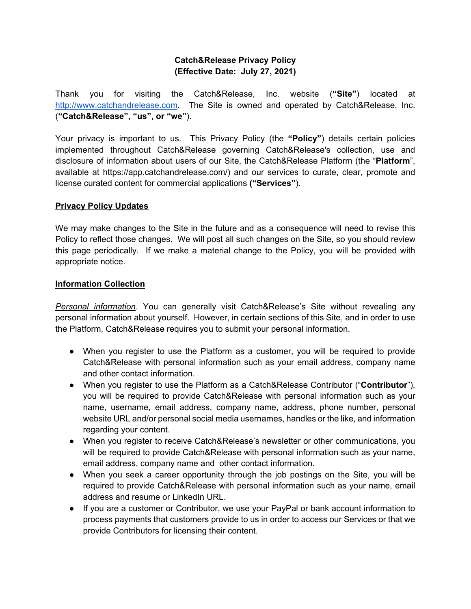## **Catch&Release Privacy Policy (Effective Date: July 27, 2021)**

Thank you for visiting the Catch&Release, Inc. website (**"Site"**) located at http://www.catchandrelease.com. The Site is owned and operated by Catch&Release, Inc. (**"Catch&Release", "us", or "we"**).

Your privacy is important to us. This Privacy Policy (the **"Policy"**) details certain policies implemented throughout Catch&Release governing Catch&Release's collection, use and disclosure of information about users of our Site, the Catch&Release Platform (the "**Platform**", available at https://app.catchandrelease.com/) and our services to curate, clear, promote and license curated content for commercial applications **("Services"**).

## **Privacy Policy Updates**

We may make changes to the Site in the future and as a consequence will need to revise this Policy to reflect those changes. We will post all such changes on the Site, so you should review this page periodically. If we make a material change to the Policy, you will be provided with appropriate notice.

#### **Information Collection**

*Personal information*. You can generally visit Catch&Release's Site without revealing any personal information about yourself. However, in certain sections of this Site, and in order to use the Platform, Catch&Release requires you to submit your personal information.

- When you register to use the Platform as a customer, you will be required to provide Catch&Release with personal information such as your email address, company name and other contact information.
- When you register to use the Platform as a Catch&Release Contributor ("**Contributor**"), you will be required to provide Catch&Release with personal information such as your name, username, email address, company name, address, phone number, personal website URL and/or personal social media usernames, handles or the like, and information regarding your content.
- When you register to receive Catch&Release's newsletter or other communications, you will be required to provide Catch&Release with personal information such as your name, email address, company name and other contact information.
- When you seek a career opportunity through the job postings on the Site, you will be required to provide Catch&Release with personal information such as your name, email address and resume or LinkedIn URL.
- If you are a customer or Contributor, we use your PayPal or bank account information to process payments that customers provide to us in order to access our Services or that we provide Contributors for licensing their content.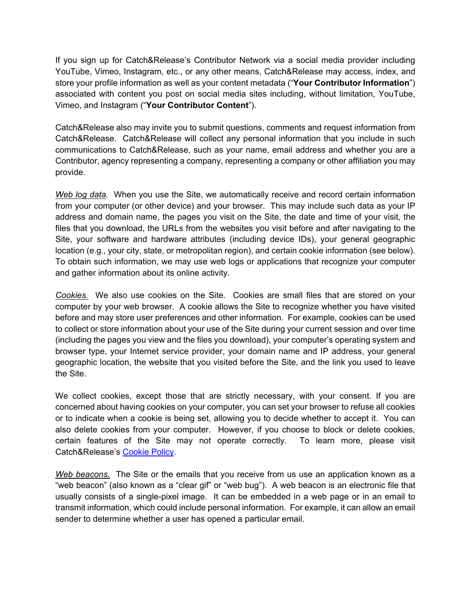If you sign up for Catch&Release's Contributor Network via a social media provider including YouTube, Vimeo, Instagram, etc., or any other means, Catch&Release may access, index, and store your profile information as well as your content metadata ("**Your Contributor Information**") associated with content you post on social media sites including, without limitation, YouTube, Vimeo, and Instagram ("**Your Contributor Content**").

Catch&Release also may invite you to submit questions, comments and request information from Catch&Release. Catch&Release will collect any personal information that you include in such communications to Catch&Release, such as your name, email address and whether you are a Contributor, agency representing a company, representing a company or other affiliation you may provide.

*Web log data.* When you use the Site, we automatically receive and record certain information from your computer (or other device) and your browser. This may include such data as your IP address and domain name, the pages you visit on the Site, the date and time of your visit, the files that you download, the URLs from the websites you visit before and after navigating to the Site, your software and hardware attributes (including device IDs), your general geographic location (e.g., your city, state, or metropolitan region), and certain cookie information (see below). To obtain such information, we may use web logs or applications that recognize your computer and gather information about its online activity.

*Cookies.* We also use cookies on the Site. Cookies are small files that are stored on your computer by your web browser. A cookie allows the Site to recognize whether you have visited before and may store user preferences and other information. For example, cookies can be used to collect or store information about your use of the Site during your current session and over time (including the pages you view and the files you download), your computer's operating system and browser type, your Internet service provider, your domain name and IP address, your general geographic location, the website that you visited before the Site, and the link you used to leave the Site.

We collect cookies, except those that are strictly necessary, with your consent. If you are concerned about having cookies on your computer, you can set your browser to refuse all cookies or to indicate when a cookie is being set, allowing you to decide whether to accept it. You can also delete cookies from your computer. However, if you choose to block or delete cookies, certain features of the Site may not operate correctly. To learn more, please visit Catch&Release's Cookie Policy.

*Web beacons.* The Site or the emails that you receive from us use an application known as a "web beacon" (also known as a "clear gif" or "web bug"). A web beacon is an electronic file that usually consists of a single-pixel image. It can be embedded in a web page or in an email to transmit information, which could include personal information. For example, it can allow an email sender to determine whether a user has opened a particular email.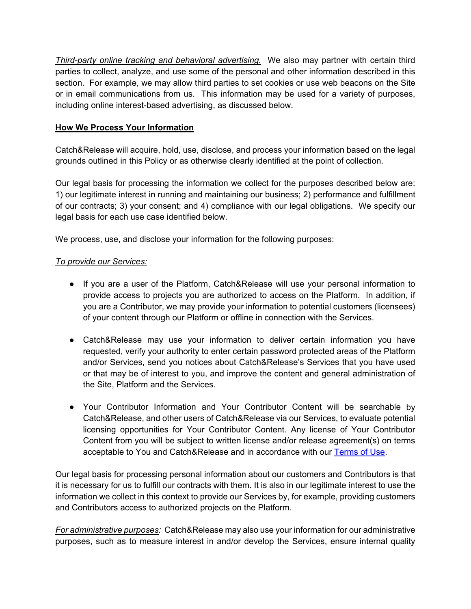*Third-party online tracking and behavioral advertising.* We also may partner with certain third parties to collect, analyze, and use some of the personal and other information described in this section. For example, we may allow third parties to set cookies or use web beacons on the Site or in email communications from us. This information may be used for a variety of purposes, including online interest-based advertising, as discussed below.

# **How We Process Your Information**

Catch&Release will acquire, hold, use, disclose, and process your information based on the legal grounds outlined in this Policy or as otherwise clearly identified at the point of collection.

Our legal basis for processing the information we collect for the purposes described below are: 1) our legitimate interest in running and maintaining our business; 2) performance and fulfillment of our contracts; 3) your consent; and 4) compliance with our legal obligations. We specify our legal basis for each use case identified below.

We process, use, and disclose your information for the following purposes:

# *To provide our Services:*

- If you are a user of the Platform, Catch&Release will use your personal information to provide access to projects you are authorized to access on the Platform. In addition, if you are a Contributor, we may provide your information to potential customers (licensees) of your content through our Platform or offline in connection with the Services.
- Catch&Release may use your information to deliver certain information you have requested, verify your authority to enter certain password protected areas of the Platform and/or Services, send you notices about Catch&Release's Services that you have used or that may be of interest to you, and improve the content and general administration of the Site, Platform and the Services.
- Your Contributor Information and Your Contributor Content will be searchable by Catch&Release, and other users of Catch&Release via our Services, to evaluate potential licensing opportunities for Your Contributor Content. Any license of Your Contributor Content from you will be subject to written license and/or release agreement(s) on terms acceptable to You and Catch&Release and in accordance with our Terms of Use.

Our legal basis for processing personal information about our customers and Contributors is that it is necessary for us to fulfill our contracts with them. It is also in our legitimate interest to use the information we collect in this context to provide our Services by, for example, providing customers and Contributors access to authorized projects on the Platform.

*For administrative purposes:* Catch&Release may also use your information for our administrative purposes, such as to measure interest in and/or develop the Services, ensure internal quality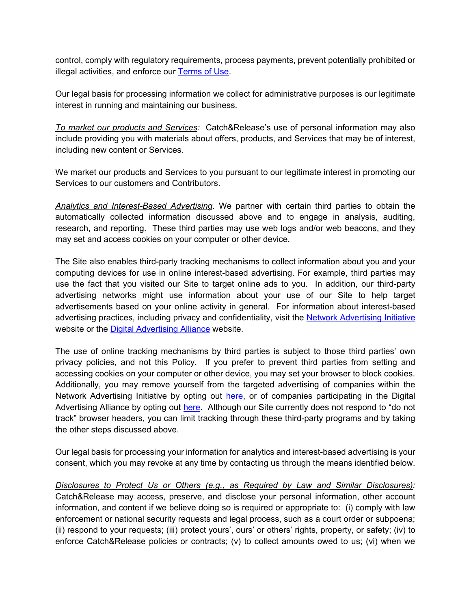control, comply with regulatory requirements, process payments, prevent potentially prohibited or illegal activities, and enforce our Terms of Use.

Our legal basis for processing information we collect for administrative purposes is our legitimate interest in running and maintaining our business.

*To market our products and Services:* Catch&Release's use of personal information may also include providing you with materials about offers, products, and Services that may be of interest, including new content or Services.

We market our products and Services to you pursuant to our legitimate interest in promoting our Services to our customers and Contributors.

*Analytics and Interest-Based Advertising*. We partner with certain third parties to obtain the automatically collected information discussed above and to engage in analysis, auditing, research, and reporting. These third parties may use web logs and/or web beacons, and they may set and access cookies on your computer or other device.

The Site also enables third-party tracking mechanisms to collect information about you and your computing devices for use in online interest-based advertising. For example, third parties may use the fact that you visited our Site to target online ads to you. In addition, our third-party advertising networks might use information about your use of our Site to help target advertisements based on your online activity in general. For information about interest-based advertising practices, including privacy and confidentiality, visit the Network Advertising Initiative website or the **Digital Advertising Alliance** website.

The use of online tracking mechanisms by third parties is subject to those third parties' own privacy policies, and not this Policy. If you prefer to prevent third parties from setting and accessing cookies on your computer or other device, you may set your browser to block cookies. Additionally, you may remove yourself from the targeted advertising of companies within the Network Advertising Initiative by opting out here, or of companies participating in the Digital Advertising Alliance by opting out here. Although our Site currently does not respond to "do not track" browser headers, you can limit tracking through these third-party programs and by taking the other steps discussed above.

Our legal basis for processing your information for analytics and interest-based advertising is your consent, which you may revoke at any time by contacting us through the means identified below.

*Disclosures to Protect Us or Others (e.g., as Required by Law and Similar Disclosures):* Catch&Release may access, preserve, and disclose your personal information, other account information, and content if we believe doing so is required or appropriate to: (i) comply with law enforcement or national security requests and legal process, such as a court order or subpoena; (ii) respond to your requests; (iii) protect yours', ours' or others' rights, property, or safety; (iv) to enforce Catch&Release policies or contracts; (v) to collect amounts owed to us; (vi) when we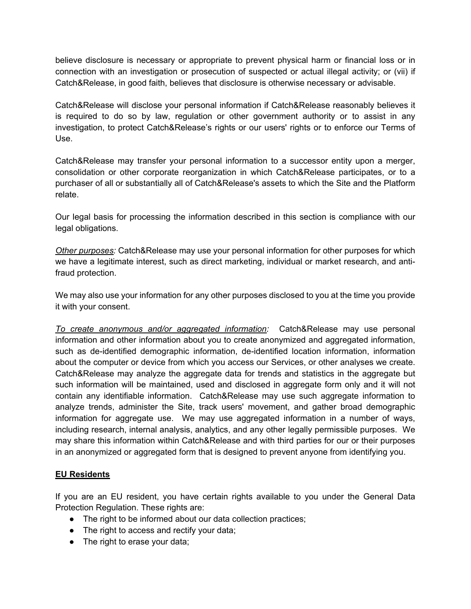believe disclosure is necessary or appropriate to prevent physical harm or financial loss or in connection with an investigation or prosecution of suspected or actual illegal activity; or (vii) if Catch&Release, in good faith, believes that disclosure is otherwise necessary or advisable.

Catch&Release will disclose your personal information if Catch&Release reasonably believes it is required to do so by law, regulation or other government authority or to assist in any investigation, to protect Catch&Release's rights or our users' rights or to enforce our Terms of Use.

Catch&Release may transfer your personal information to a successor entity upon a merger, consolidation or other corporate reorganization in which Catch&Release participates, or to a purchaser of all or substantially all of Catch&Release's assets to which the Site and the Platform relate.

Our legal basis for processing the information described in this section is compliance with our legal obligations.

*Other purposes:* Catch&Release may use your personal information for other purposes for which we have a legitimate interest, such as direct marketing, individual or market research, and antifraud protection.

We may also use your information for any other purposes disclosed to you at the time you provide it with your consent.

*To create anonymous and/or aggregated information:* Catch&Release may use personal information and other information about you to create anonymized and aggregated information, such as de-identified demographic information, de-identified location information, information about the computer or device from which you access our Services, or other analyses we create. Catch&Release may analyze the aggregate data for trends and statistics in the aggregate but such information will be maintained, used and disclosed in aggregate form only and it will not contain any identifiable information. Catch&Release may use such aggregate information to analyze trends, administer the Site, track users' movement, and gather broad demographic information for aggregate use. We may use aggregated information in a number of ways, including research, internal analysis, analytics, and any other legally permissible purposes. We may share this information within Catch&Release and with third parties for our or their purposes in an anonymized or aggregated form that is designed to prevent anyone from identifying you.

# **EU Residents**

If you are an EU resident, you have certain rights available to you under the General Data Protection Regulation. These rights are:

- The right to be informed about our data collection practices;
- The right to access and rectify your data;
- The right to erase your data;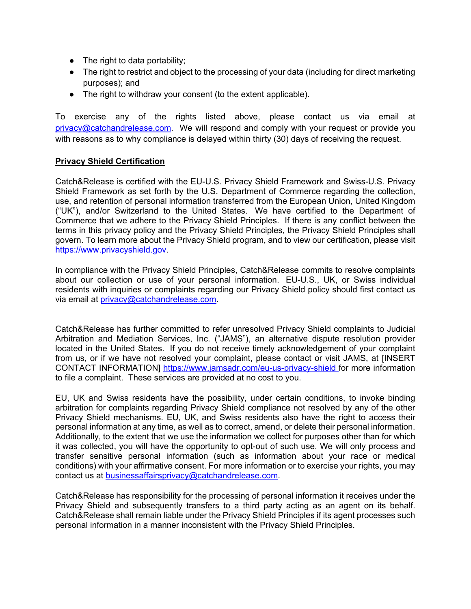- $\bullet$  The right to data portability;
- The right to restrict and object to the processing of your data (including for direct marketing purposes); and
- The right to withdraw your consent (to the extent applicable).

To exercise any of the rights listed above, please contact us via email at privacy@catchandrelease.com. We will respond and comply with your request or provide you with reasons as to why compliance is delayed within thirty (30) days of receiving the request.

#### **Privacy Shield Certification**

Catch&Release is certified with the EU-U.S. Privacy Shield Framework and Swiss-U.S. Privacy Shield Framework as set forth by the U.S. Department of Commerce regarding the collection, use, and retention of personal information transferred from the European Union, United Kingdom ("UK"), and/or Switzerland to the United States. We have certified to the Department of Commerce that we adhere to the Privacy Shield Principles. If there is any conflict between the terms in this privacy policy and the Privacy Shield Principles, the Privacy Shield Principles shall govern. To learn more about the Privacy Shield program, and to view our certification, please visit https://www.privacyshield.gov.

In compliance with the Privacy Shield Principles, Catch&Release commits to resolve complaints about our collection or use of your personal information. EU-U.S., UK, or Swiss individual residents with inquiries or complaints regarding our Privacy Shield policy should first contact us via email at privacy@catchandrelease.com.

Catch&Release has further committed to refer unresolved Privacy Shield complaints to Judicial Arbitration and Mediation Services, Inc. ("JAMS"), an alternative dispute resolution provider located in the United States. If you do not receive timely acknowledgement of your complaint from us, or if we have not resolved your complaint, please contact or visit JAMS, at [INSERT CONTACT INFORMATION] https://www.jamsadr.com/eu-us-privacy-shield for more information to file a complaint. These services are provided at no cost to you.

EU, UK and Swiss residents have the possibility, under certain conditions, to invoke binding arbitration for complaints regarding Privacy Shield compliance not resolved by any of the other Privacy Shield mechanisms. EU, UK, and Swiss residents also have the right to access their personal information at any time, as well as to correct, amend, or delete their personal information. Additionally, to the extent that we use the information we collect for purposes other than for which it was collected, you will have the opportunity to opt-out of such use. We will only process and transfer sensitive personal information (such as information about your race or medical conditions) with your affirmative consent. For more information or to exercise your rights, you may contact us at businessaffairsprivacy@catchandrelease.com.

Catch&Release has responsibility for the processing of personal information it receives under the Privacy Shield and subsequently transfers to a third party acting as an agent on its behalf. Catch&Release shall remain liable under the Privacy Shield Principles if its agent processes such personal information in a manner inconsistent with the Privacy Shield Principles.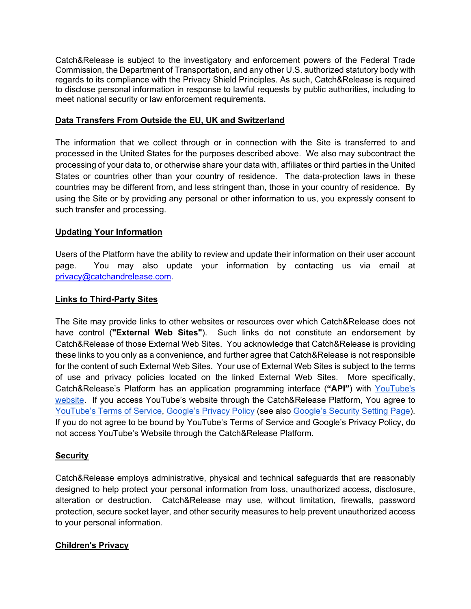Catch&Release is subject to the investigatory and enforcement powers of the Federal Trade Commission, the Department of Transportation, and any other U.S. authorized statutory body with regards to its compliance with the Privacy Shield Principles. As such, Catch&Release is required to disclose personal information in response to lawful requests by public authorities, including to meet national security or law enforcement requirements.

## **Data Transfers From Outside the EU, UK and Switzerland**

The information that we collect through or in connection with the Site is transferred to and processed in the United States for the purposes described above. We also may subcontract the processing of your data to, or otherwise share your data with, affiliates or third parties in the United States or countries other than your country of residence. The data-protection laws in these countries may be different from, and less stringent than, those in your country of residence. By using the Site or by providing any personal or other information to us, you expressly consent to such transfer and processing.

## **Updating Your Information**

Users of the Platform have the ability to review and update their information on their user account page. You may also update your information by contacting us via email at privacy@catchandrelease.com.

#### **Links to Third-Party Sites**

The Site may provide links to other websites or resources over which Catch&Release does not have control (**"External Web Sites"**). Such links do not constitute an endorsement by Catch&Release of those External Web Sites. You acknowledge that Catch&Release is providing these links to you only as a convenience, and further agree that Catch&Release is not responsible for the content of such External Web Sites. Your use of External Web Sites is subject to the terms of use and privacy policies located on the linked External Web Sites. More specifically, Catch&Release's Platform has an application programming interface (**"API"**) with YouTube's website. If you access YouTube's website through the Catch&Release Platform, You agree to YouTube's Terms of Service, Google's Privacy Policy (see also Google's Security Setting Page). If you do not agree to be bound by YouTube's Terms of Service and Google's Privacy Policy, do not access YouTube's Website through the Catch&Release Platform.

#### **Security**

Catch&Release employs administrative, physical and technical safeguards that are reasonably designed to help protect your personal information from loss, unauthorized access, disclosure, alteration or destruction. Catch&Release may use, without limitation, firewalls, password protection, secure socket layer, and other security measures to help prevent unauthorized access to your personal information.

# **Children's Privacy**